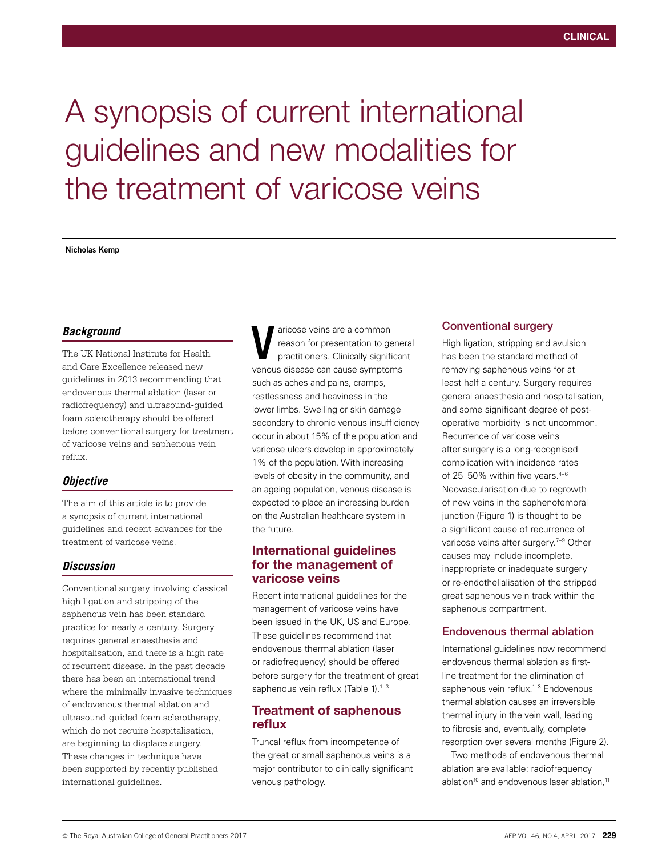# A synopsis of current international guidelines and new modalities for the treatment of varicose veins

**Nicholas Kemp**

## *Background*

The UK National Institute for Health and Care Excellence released new guidelines in 2013 recommending that endovenous thermal ablation (laser or radiofrequency) and ultrasound-guided foam sclerotherapy should be offered before conventional surgery for treatment of varicose veins and saphenous vein reflux.

## *Objective*

The aim of this article is to provide a synopsis of current international guidelines and recent advances for the treatment of varicose veins.

## *Discussion*

Conventional surgery involving classical high ligation and stripping of the saphenous vein has been standard practice for nearly a century. Surgery requires general anaesthesia and hospitalisation, and there is a high rate of recurrent disease. In the past decade there has been an international trend where the minimally invasive techniques of endovenous thermal ablation and ultrasound-guided foam sclerotherapy, which do not require hospitalisation, are beginning to displace surgery. These changes in technique have been supported by recently published international guidelines.

aricose veins are a common reason for presentation to general practitioners. Clinically significant venous disease can common<br>
venous disease can cause symptoms<br>
venous disease can cause symptoms such as aches and pains, cramps, restlessness and heaviness in the lower limbs. Swelling or skin damage secondary to chronic venous insufficiency occur in about 15% of the population and varicose ulcers develop in approximately 1% of the population. With increasing levels of obesity in the community, and an ageing population, venous disease is expected to place an increasing burden on the Australian healthcare system in the future.

## International guidelines for the management of varicose veins

Recent international guidelines for the management of varicose veins have been issued in the UK, US and Europe. These guidelines recommend that endovenous thermal ablation (laser or radiofrequency) should be offered before surgery for the treatment of great saphenous vein reflux (Table 1).<sup>1-3</sup>

## Treatment of saphenous reflux

Truncal reflux from incompetence of the great or small saphenous veins is a major contributor to clinically significant venous pathology.

### Conventional surgery

High ligation, stripping and avulsion has been the standard method of removing saphenous veins for at least half a century. Surgery requires general anaesthesia and hospitalisation, and some significant degree of postoperative morbidity is not uncommon. Recurrence of varicose veins after surgery is a long-recognised complication with incidence rates of 25–50% within five years. $4-6$ Neovascularisation due to regrowth of new veins in the saphenofemoral junction (Figure 1) is thought to be a significant cause of recurrence of varicose veins after surgery.<sup>7-9</sup> Other causes may include incomplete, inappropriate or inadequate surgery or re-endothelialisation of the stripped great saphenous vein track within the saphenous compartment.

## Endovenous thermal ablation

International guidelines now recommend endovenous thermal ablation as firstline treatment for the elimination of saphenous vein reflux.<sup>1-3</sup> Endovenous thermal ablation causes an irreversible thermal injury in the vein wall, leading to fibrosis and, eventually, complete resorption over several months (Figure 2).

Two methods of endovenous thermal ablation are available: radiofrequency ablation<sup>10</sup> and endovenous laser ablation,<sup>11</sup>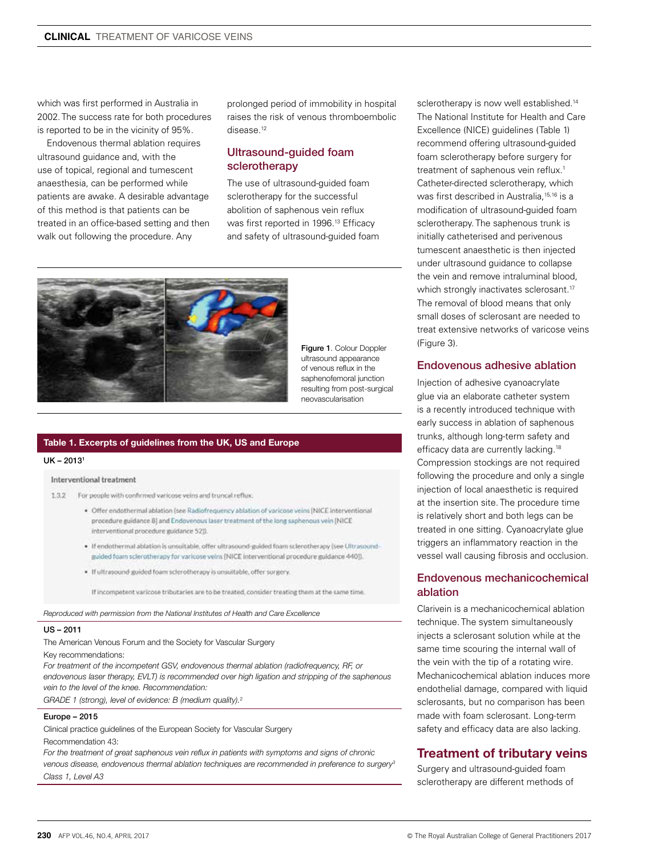which was first performed in Australia in 2002. The success rate for both procedures is reported to be in the vicinity of 95%.

Endovenous thermal ablation requires ultrasound guidance and, with the use of topical, regional and tumescent anaesthesia, can be performed while patients are awake. A desirable advantage of this method is that patients can be treated in an office-based setting and then walk out following the procedure. Any

prolonged period of immobility in hospital raises the risk of venous thromboembolic disease.12

## Ultrasound-guided foam sclerotherapy

The use of ultrasound-guided foam sclerotherapy for the successful abolition of saphenous vein reflux was first reported in 1996.<sup>13</sup> Efficacy and safety of ultrasound-guided foam



Figure 1. Colour Doppler ultrasound appearance of venous reflux in the saphenofemoral junction resulting from post-surgical neovascularisation

#### Table 1. Excerpts of guidelines from the UK, US and Europe

#### UK – 20131

#### Interventional treatment

1.3.2 For people with confirmed varicose veins and truncal reflux:

- · Offer endothermal ablation (see Radiofrequency ablation of varicose veins (NICE interventional procedure guidance 8] and Endovenous laser treatment of the long saphenous vein [NICE interventional procedure guidance 521)
- . If endothermal ablation is unsuitable, offer ultrasound-guided foam scierotherapy (see Ultrasoundguided foam sclerotherapy for varicose veins [NICE interventional procedure guidance 440]).
- · If ultrasound-guided foam sclerotherapy is unsuitable, offer surgery.

If incompetent varicose tributaries are to be treated, consider treating them at the same time.

*Reproduced with permission from the National Institutes of Health and Care Excellence*

#### US – 2011

The American Venous Forum and the Society for Vascular Surgery Key recommendations:

*For treatment of the incompetent GSV, endovenous thermal ablation (radiofrequency, RF, or endovenous laser therapy, EVLT) is recommended over high ligation and stripping of the saphenous vein to the level of the knee. Recommendation:*

*GRADE 1 (strong), level of evidence: B (medium quality).*<sup>2</sup>

#### Europe – 2015

Clinical practice guidelines of the European Society for Vascular Surgery Recommendation 43:

For the treatment of great saphenous vein reflux in patients with symptoms and signs of chronic *venous disease, endovenous thermal ablation techniques are recommended in preference to surgery3 Class 1, Level A3*

sclerotherapy is now well established.<sup>14</sup> The National Institute for Health and Care Excellence (NICE) guidelines (Table 1) recommend offering ultrasound-guided foam sclerotherapy before surgery for treatment of saphenous vein reflux.<sup>1</sup> Catheter-directed sclerotherapy, which was first described in Australia,<sup>15,16</sup> is a modification of ultrasound-guided foam sclerotherapy. The saphenous trunk is initially catheterised and perivenous tumescent anaesthetic is then injected under ultrasound guidance to collapse the vein and remove intraluminal blood, which strongly inactivates sclerosant.<sup>17</sup> The removal of blood means that only small doses of sclerosant are needed to treat extensive networks of varicose veins (Figure 3).

#### Endovenous adhesive ablation

Injection of adhesive cyanoacrylate glue via an elaborate catheter system is a recently introduced technique with early success in ablation of saphenous trunks, although long-term safety and efficacy data are currently lacking.<sup>18</sup> Compression stockings are not required following the procedure and only a single injection of local anaesthetic is required at the insertion site. The procedure time is relatively short and both legs can be treated in one sitting. Cyanoacrylate glue triggers an inflammatory reaction in the vessel wall causing fibrosis and occlusion.

## Endovenous mechanicochemical ablation

Clarivein is a mechanicochemical ablation technique. The system simultaneously injects a sclerosant solution while at the same time scouring the internal wall of the vein with the tip of a rotating wire. Mechanicochemical ablation induces more endothelial damage, compared with liquid sclerosants, but no comparison has been made with foam sclerosant. Long-term safety and efficacy data are also lacking.

## Treatment of tributary veins

Surgery and ultrasound-guided foam sclerotherapy are different methods of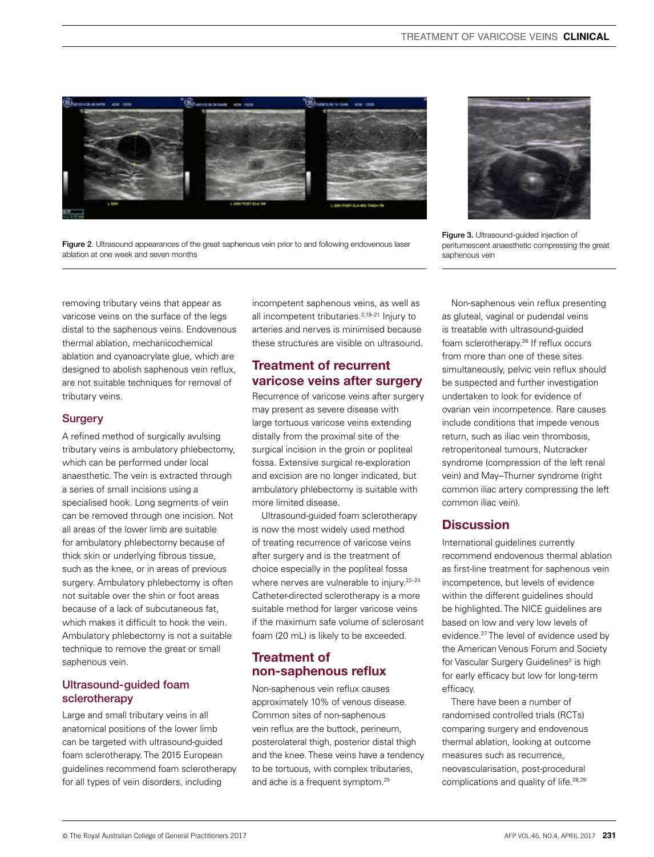

Figure 2. Ultrasound appearances of the great saphenous vein prior to and following endovenous laser ablation at one week and seven months



Figure 3. Ultrasound-guided injection of peritumescent anaesthetic compressing the great saphenous vein

removing tributary veins that appear as varicose veins on the surface of the legs distal to the saphenous veins. Endovenous thermal ablation, mechanicochemical ablation and cyanoacrylate glue, which are designed to abolish saphenous vein reflux, are not suitable techniques for removal of tributary veins.

## **Surgery**

A refined method of surgically avulsing tributary veins is ambulatory phlebectomy, which can be performed under local anaesthetic. The vein is extracted through a series of small incisions using a specialised hook. Long segments of vein can be removed through one incision. Not all areas of the lower limb are suitable for ambulatory phlebectomy because of thick skin or underlying fibrous tissue, such as the knee, or in areas of previous surgery. Ambulatory phlebectomy is often not suitable over the shin or foot areas because of a lack of subcutaneous fat, which makes it difficult to hook the vein. Ambulatory phlebectomy is not a suitable technique to remove the great or small saphenous vein.

## Ultrasound-guided foam sclerotherapy

Large and small tributary veins in all anatomical positions of the lower limb can be targeted with ultrasound-guided foam sclerotherapy. The 2015 European guidelines recommend foam sclerotherapy for all types of vein disorders, including

incompetent saphenous veins, as well as all incompetent tributaries.3,19–21 Injury to arteries and nerves is minimised because these structures are visible on ultrasound.

# Treatment of recurrent varicose veins after surgery

Recurrence of varicose veins after surgery may present as severe disease with large tortuous varicose veins extending distally from the proximal site of the surgical incision in the groin or popliteal fossa. Extensive surgical re-exploration and excision are no longer indicated, but ambulatory phlebectomy is suitable with more limited disease.

Ultrasound-guided foam sclerotherapy is now the most widely used method of treating recurrence of varicose veins after surgery and is the treatment of choice especially in the popliteal fossa where nerves are vulnerable to injury.<sup>22-24</sup> Catheter-directed sclerotherapy is a more suitable method for larger varicose veins if the maximum safe volume of sclerosant foam (20 mL) is likely to be exceeded.

## Treatment of non-saphenous reflux

Non-saphenous vein reflux causes approximately 10% of venous disease. Common sites of non-saphenous vein reflux are the buttock, perineum, posterolateral thigh, posterior distal thigh and the knee. These veins have a tendency to be tortuous, with complex tributaries, and ache is a frequent symptom.25

Non-saphenous vein reflux presenting as gluteal, vaginal or pudendal veins is treatable with ultrasound-guided foam sclerotherapy.26 If reflux occurs from more than one of these sites simultaneously, pelvic vein reflux should be suspected and further investigation undertaken to look for evidence of ovarian vein incompetence. Rare causes include conditions that impede venous return, such as iliac vein thrombosis, retroperitoneal tumours, Nutcracker syndrome (compression of the left renal vein) and May–Thurner syndrome (right common iliac artery compressing the left common iliac vein).

# **Discussion**

International guidelines currently recommend endovenous thermal ablation as first-line treatment for saphenous vein incompetence, but levels of evidence within the different guidelines should be highlighted. The NICE guidelines are based on low and very low levels of evidence.27 The level of evidence used by the American Venous Forum and Society for Vascular Surgery Guidelines<sup>2</sup> is high for early efficacy but low for long-term efficacy.

There have been a number of randomised controlled trials (RCTs) comparing surgery and endovenous thermal ablation, looking at outcome measures such as recurrence, neovascularisation, post-procedural complications and quality of life.<sup>28,29</sup>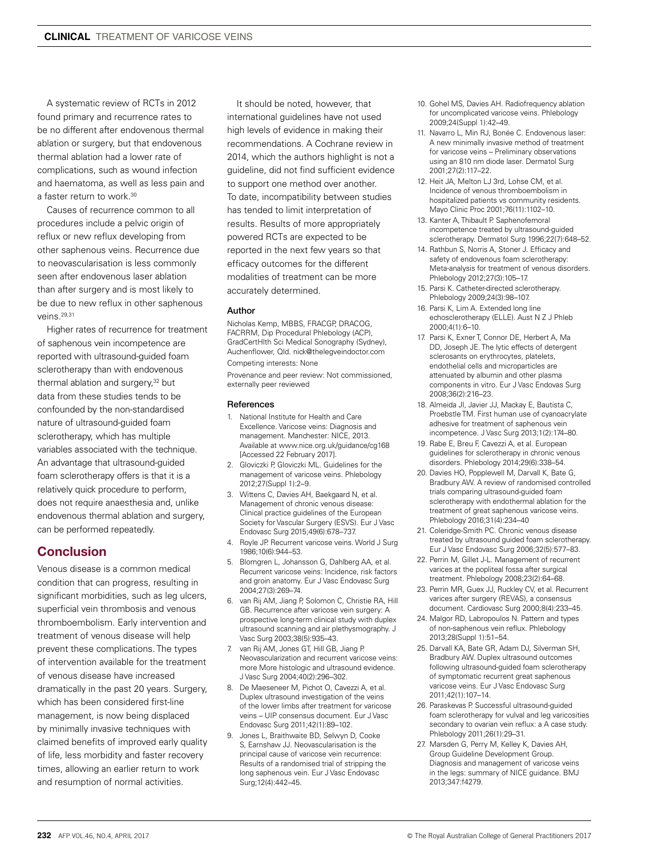A systematic review of RCTs in 2012 found primary and recurrence rates to be no different after endovenous thermal ablation or surgery, but that endovenous thermal ablation had a lower rate of complications, such as wound infection and haematoma, as well as less pain and a faster return to work.<sup>30</sup>

Causes of recurrence common to all procedures include a pelvic origin of reflux or new reflux developing from other saphenous veins. Recurrence due to neovascularisation is less commonly seen after endovenous laser ablation than after surgery and is most likely to be due to new reflux in other saphenous veins.29,31

Higher rates of recurrence for treatment of saphenous vein incompetence are reported with ultrasound-guided foam sclerotherapy than with endovenous thermal ablation and surgery.<sup>32</sup> but data from these studies tends to be confounded by the non-standardised nature of ultrasound-guided foam sclerotherapy, which has multiple variables associated with the technique. An advantage that ultrasound-guided foam sclerotherapy offers is that it is a relatively quick procedure to perform, does not require anaesthesia and, unlike endovenous thermal ablation and surgery, can be performed repeatedly.

## **Conclusion**

Venous disease is a common medical condition that can progress, resulting in significant morbidities, such as leg ulcers, superficial vein thrombosis and venous thromboembolism. Early intervention and treatment of venous disease will help prevent these complications. The types of intervention available for the treatment of venous disease have increased dramatically in the past 20 years. Surgery, which has been considered first-line management, is now being displaced by minimally invasive techniques with claimed benefits of improved early quality of life, less morbidity and faster recovery times, allowing an earlier return to work and resumption of normal activities.

It should be noted, however, that international guidelines have not used high levels of evidence in making their recommendations. A Cochrane review in 2014, which the authors highlight is not a guideline, did not find sufficient evidence to support one method over another. To date, incompatibility between studies has tended to limit interpretation of results. Results of more appropriately powered RCTs are expected to be reported in the next few years so that efficacy outcomes for the different modalities of treatment can be more accurately determined.

#### Author

Nicholas Kemp, MBBS, FRACGP, DRACOG, FACRRM, Dip Procedural Phlebology (ACP), GradCertHlth Sci Medical Sonography (Sydney), Auchenflower, Qld. nick@thelegveindoctor.com Competing interests: None

Provenance and peer review: Not commissioned, externally peer reviewed

#### References

- 1. National Institute for Health and Care Excellence. Varicose veins: Diagnosis and management. Manchester: NICE, 2013. Available at www.nice.org.uk/guidance/cg168 [Accessed 22 February 2017].
- 2. Gloviczki P, Gloviczki ML. Guidelines for the management of varicose veins. Phlebology 2012;27(Suppl 1):2–9.
- 3. Wittens C, Davies AH, Baekgaard N, et al. Management of chronic venous disease: Clinical practice guidelines of the European Society for Vascular Surgery (ESVS). Eur J Vasc Endovasc Surg 2015;49(6):678–737.
- 4. Royle JP. Recurrent varicose veins. World J Surg 1986;10(6):944–53.
- 5. Blomgren L, Johansson G, Dahlberg AA, et al. Recurrent varicose veins: Incidence, risk factors and groin anatomy. Eur J Vasc Endovasc Surg 2004;27(3):269–74.
- 6. van Rij AM, Jiang P, Solomon C, Christie RA, Hill GB. Recurrence after varicose vein surgery: A prospective long-term clinical study with duplex ultrasound scanning and air plethysmography. J Vasc Surg 2003;38(5):935–43.
- 7. van Rij AM, Jones GT, Hill GB, Jiang P. Neovascularization and recurrent varicose veins: more More histologic and ultrasound evidence. J Vasc Surg 2004;40(2):296–302.
- 8. De Maeseneer M, Pichot O, Cavezzi A, et al. Duplex ultrasound investigation of the veins of the lower limbs after treatment for varicose veins – UIP consensus document. Eur J Vasc Endovasc Surg 2011;42(1):89–102.
- 9. Jones L, Braithwaite BD, Selwyn D, Cooke S, Earnshaw JJ. Neovascularisation is the principal cause of varicose vein recurrence: Results of a randomised trial of stripping the long saphenous vein. Eur J Vasc Endovasc Surg;12(4):442–45.
- 10. Gohel MS, Davies AH. Radiofrequency ablation for uncomplicated varicose veins. Phlebology 2009;24(Suppl 1):42–49.
- 11. Navarro L, Min RJ, Bonée C. Endovenous laser: A new minimally invasive method of treatment for varicose veins – Preliminary observations using an 810 nm diode laser. Dermatol Surg 2001;27(2):117–22.
- 12. Heit JA, Melton LJ 3rd, Lohse CM, et al. Incidence of venous thromboembolism in hospitalized patients vs community residents. Mayo Clinic Proc 2001;76(11):1102–10.
- 13. Kanter A, Thibault P. Saphenofemoral incompetence treated by ultrasound-guided sclerotherapy. Dermatol Surg 1996;22(7):648–52.
- 14. Rathbun S, Norris A, Stoner J. Efficacy and safety of endovenous foam sclerotherapy: Meta-analysis for treatment of venous disorders. Phlebology 2012;27(3):105–17.
- 15. Parsi K. Catheter-directed sclerotherapy. Phlebology 2009;24(3):98–107.
- 16. Parsi K, Lim A. Extended long line echosclerotherapy (ELLE). Aust N Z J Phleb 2000;4(1):6–10.
- 17. Parsi K, Exner T, Connor DE, Herbert A, Ma DD, Joseph JE. The lytic effects of detergent sclerosants on erythrocytes, platelets, endothelial cells and microparticles are attenuated by albumin and other plasma components in vitro. Eur J Vasc Endovas Surg 2008;36(2):216–23.
- 18. Almeida JI, Javier JJ, Mackay E, Bautista C, Proebstle TM. First human use of cyanoacrylate adhesive for treatment of saphenous vein incompetence. J Vasc Surg 2013;1(2):174–80.
- 19. Rabe E, Breu F, Cavezzi A, et al. European guidelines for sclerotherapy in chronic venous disorders. Phlebology 2014;29(6):338–54.
- 20. Davies HO, Popplewell M, Darvall K, Bate G, Bradbury AW. A review of randomised controlled trials comparing ultrasound-guided foam sclerotherapy with endothermal ablation for the treatment of great saphenous varicose veins. Phlebology 2016;31(4):234–40
- 21. Coleridge-Smith PC. Chronic venous disease treated by ultrasound guided foam sclerotherapy. Eur J Vasc Endovasc Surg 2006;32(5):577–83.
- 22. Perrin M, Gillet J-L. Management of recurrent varices at the popliteal fossa after surgical treatment. Phlebology 2008;23(2):64–68.
- 23. Perrin MR, Guex JJ, Ruckley CV, et al. Recurrent varices after surgery (REVAS), a consensus document. Cardiovasc Surg 2000;8(4):233–45.
- 24. Malgor RD, Labropoulos N. Pattern and types of non-saphenous vein reflux. Phlebology 2013;28(Suppl 1):51–54.
- 25. Darvall KA, Bate GR, Adam DJ, Silverman SH, Bradbury AW. Duplex ultrasound outcomes following ultrasound-guided foam sclerotherapy of symptomatic recurrent great saphenous varicose veins. Eur J Vasc Endovasc Surg 2011;42(1):107–14.
- 26. Paraskevas P. Successful ultrasound-guided foam sclerotherapy for vulval and leg varicosities secondary to ovarian vein reflux: a A case study. Phlebology 2011;26(1):29–31.
- 27. Marsden G, Perry M, Kelley K, Davies AH, Group Guideline Development Group. Diagnosis and management of varicose veins in the legs: summary of NICE guidance. BMJ 2013;347:f4279.